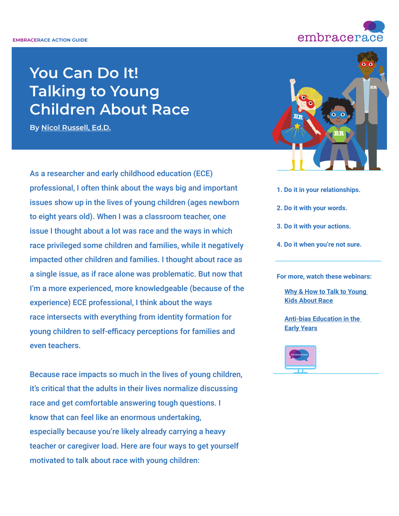# **You Can Do It! Talking to Young Children About Race**

**By [Nicol Russell, Ed.D.](https://www.linkedin.com/in/nrussell-oiwi/)**

As a researcher and early childhood education (ECE) professional, I often think about the ways big and important issues show up in the lives of young children (ages newborn to eight years old). When I was a classroom teacher, one issue I thought about a lot was race and the ways in which race privileged some children and families, while it negatively impacted other children and families. I thought about race as a single issue, as if race alone was problematic. But now that I'm a more experienced, more knowledgeable (because of the experience) ECE professional, I think about the ways race intersects with everything from identity formation for young children to self-efficacy perceptions for families and even teachers.

Because race impacts so much in the lives of young children, it's critical that the adults in their lives normalize discussing race and get comfortable answering tough questions. I know that can feel like an enormous undertaking, especially because you're likely already carrying a heavy teacher or caregiver load. Here are four ways to get yourself motivated to talk about race with young children:



- **1. Do it in your relationships.**
- **2. Do it with your words.**
- **3. Do it with your actions.**
- **4. Do it when you're not sure.**

**For more, watch these webinars:**

**[Why & How to Talk to Young](https://www.embracerace.org/resources/why-how-to-talk-to-young-kids-about-race)  [Kids About Race](https://www.embracerace.org/resources/why-how-to-talk-to-young-kids-about-race)**

**[Anti-bias Education in the](https://www.embracerace.org/resources/antibias-education-in-the-early-years)  [Early Years](https://www.embracerace.org/resources/antibias-education-in-the-early-years)**



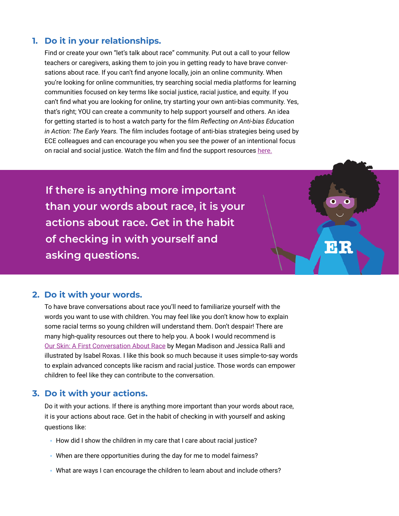## **1. Do it in your relationships.**

 Find or create your own "let's talk about race" community. Put out a call to your fellow teachers or caregivers, asking them to join you in getting ready to have brave conversations about race. If you can't find anyone locally, join an online community. When you're looking for online communities, try searching social media platforms for learning communities focused on key terms like social justice, racial justice, and equity. If you can't find what you are looking for online, try starting your own anti-bias community. Yes, that's right; YOU can create a community to help support yourself and others. An idea for getting started is to host a watch party for the film *Reflecting on Anti-bias Education in Action: The Early Years.* The film includes footage of anti-bias strategies being used by ECE colleagues and can encourage you when you see the power of an intentional focus on racial and social justice. Watch the film and find the support resources [here](https://www.antibiasleadersece.com/the-film-reflecting-on-anti-bias-education-in-action/).

**If there is anything more important than your words about race, it is your actions about race. Get in the habit of checking in with yourself and asking questions.**

### **2. Do it with your words.**

 To have brave conversations about race you'll need to familiarize yourself with the words you want to use with children. You may feel like you don't know how to explain some racial terms so young children will understand them. Don't despair! There are many high-quality resources out there to help you. A book I would recommend is [Our Skin: A First Conversation About Race](https://www.penguinrandomhouse.com/books/667991/our-skin-a-first-conversation-about-race-by-megan-madison-and-jessica-ralli-illustrated-by-isabel-roxas/) by Megan Madison and Jessica Ralli and illustrated by Isabel Roxas. I like this book so much because it uses simple-to-say words to explain advanced concepts like racism and racial justice. Those words can empower children to feel like they can contribute to the conversation.

**BRE** 

#### **3. Do it with your actions.**

Do it with your actions. If there is anything more important than your words about race, it is your actions about race. Get in the habit of checking in with yourself and asking questions like:

- **•** How did I show the children in my care that I care about racial justice?
- **•** When are there opportunities during the day for me to model fairness?
- **•** What are ways I can encourage the children to learn about and include others?